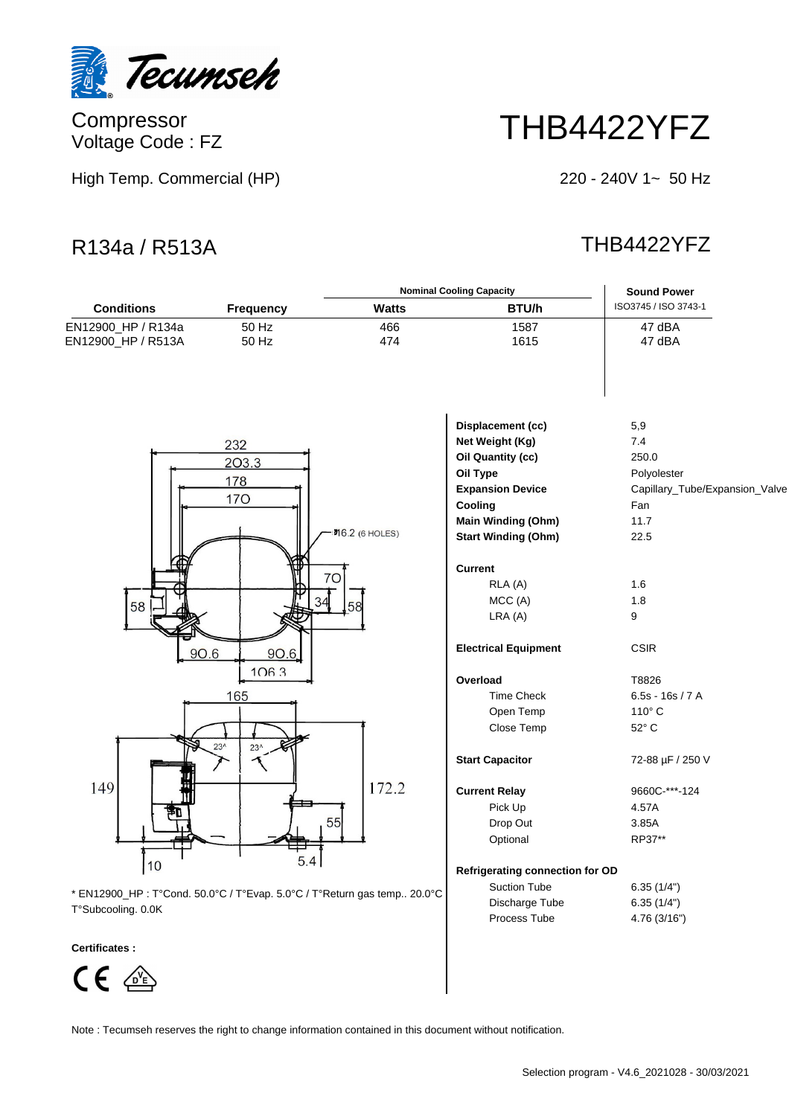

Compressor Voltage Code : FZ

High Temp. Commercial (HP)

# THB4422YFZ

220 - 240V 1~ 50 Hz

# R134a / R513A THB4422YFZ

|                                                                          |                  |                        | <b>Nominal Cooling Capacity</b>        | <b>Sound Power</b>             |  |  |
|--------------------------------------------------------------------------|------------------|------------------------|----------------------------------------|--------------------------------|--|--|
| <b>Conditions</b>                                                        | <b>Frequency</b> | <b>Watts</b>           | BTU/h                                  | ISO3745 / ISO 3743-1           |  |  |
| EN12900_HP / R134a                                                       | 50 Hz            | 466                    | 1587                                   | 47 dBA                         |  |  |
| EN12900_HP / R513A                                                       | 50 Hz            | 474                    | 1615                                   | 47 dBA                         |  |  |
|                                                                          |                  |                        |                                        |                                |  |  |
|                                                                          |                  |                        | Displacement (cc)                      | 5,9                            |  |  |
| 232                                                                      |                  |                        | Net Weight (Kg)                        | 7.4                            |  |  |
|                                                                          | 203.3            |                        | Oil Quantity (cc)                      | 250.0                          |  |  |
|                                                                          | 178              |                        | Oil Type                               | Polyolester                    |  |  |
|                                                                          |                  |                        | <b>Expansion Device</b>                | Capillary_Tube/Expansion_Valve |  |  |
|                                                                          | <b>170</b>       |                        | Cooling                                | Fan                            |  |  |
|                                                                          |                  |                        | Main Winding (Ohm)                     | 11.7                           |  |  |
|                                                                          |                  | <b>기</b> 6.2 (6 HOLES) | <b>Start Winding (Ohm)</b>             | 22.5                           |  |  |
|                                                                          |                  |                        |                                        |                                |  |  |
|                                                                          |                  | 70                     | <b>Current</b>                         |                                |  |  |
|                                                                          |                  |                        | RLA (A)                                | 1.6                            |  |  |
| 58                                                                       | 34               | 58                     | MCC (A)                                | 1.8                            |  |  |
|                                                                          |                  |                        | LRA(A)                                 | 9                              |  |  |
|                                                                          |                  |                        |                                        |                                |  |  |
|                                                                          | 90.6<br>90.6     |                        | <b>Electrical Equipment</b>            | <b>CSIR</b>                    |  |  |
|                                                                          | 1063             |                        | Overload                               | T8826                          |  |  |
|                                                                          | 165              |                        | <b>Time Check</b>                      | $6.5s - 16s / 7A$              |  |  |
|                                                                          |                  |                        | Open Temp                              | $110^\circ$ C                  |  |  |
|                                                                          |                  |                        | Close Temp                             | 52° C                          |  |  |
|                                                                          | $23^$<br>$23^$   |                        |                                        |                                |  |  |
|                                                                          |                  |                        | <b>Start Capacitor</b>                 | 72-88 µF / 250 V               |  |  |
| 149                                                                      |                  | 172.2                  | <b>Current Relay</b>                   | 9660C-***-124                  |  |  |
|                                                                          |                  |                        | Pick Up                                | 4.57A                          |  |  |
|                                                                          |                  | 55                     | Drop Out                               | 3.85A                          |  |  |
|                                                                          |                  |                        | Optional                               | RP37**                         |  |  |
|                                                                          | 5.4              |                        |                                        |                                |  |  |
| 10                                                                       |                  |                        | <b>Refrigerating connection for OD</b> |                                |  |  |
| * EN12900_HP : T°Cond. 50.0°C / T°Evap. 5.0°C / T°Return gas temp 20.0°C |                  | <b>Suction Tube</b>    | 6.35(1/4")                             |                                |  |  |
| $T^o$ Cuboooling $\cap$ $\cap$                                           |                  | Discharge Tube         | 6.35(1/4")                             |                                |  |  |

T°Subcooling. 0.0K

### **Certificates :**



Note : Tecumseh reserves the right to change information contained in this document without notification.

Process Tube 4.76 (3/16")